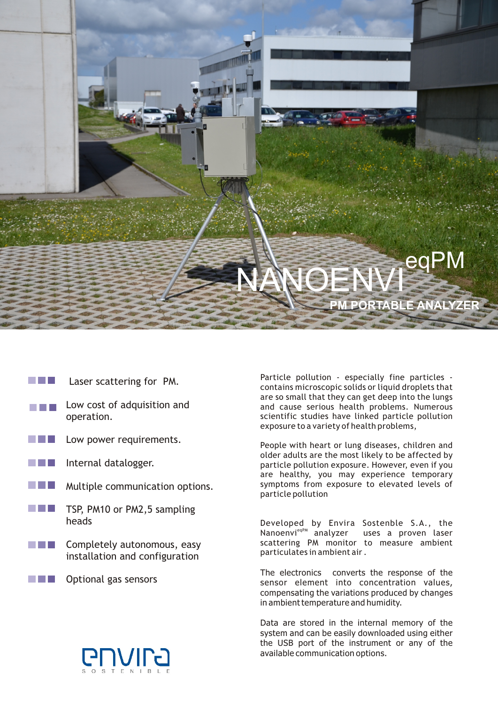# **M PORTABLE ANALYZE NANOENVI**eqPM

- a di Jaw Laser scattering for PM.
- Low cost of adquisition and operation.
- **The Contract** Low power requirements.
- Internal datalogger.
- Multiple communication options. a sa T
- **The Company** TSP, PM10 or PM2,5 sampling heads
- Completely autonomous, easy <u> Bartha Ba</u> installation and configuration
- Optional gas sensors n Fil



Particle pollution - especially fine particles contains microscopic solids or liquid droplets that are so small that they can get deep into the lungs and cause serious health problems. Numerous scientific studies have linked particle pollution exposure to a variety of health problems,

People with heart or lung diseases, children and older adults are the most likely to be affected by particle pollution exposure. However, even if you are healthy, you may experience temporary symptoms from exposure to elevated levels of particle pollution

Developed by Envira Sostenble S.A., the Nanoenvi<sup>eqPM</sup> analyzer uses a proven laser scattering PM monitor to measure ambient particulates in ambient air .

The electronics converts the response of the sensor element into concentration values, compensating the variations produced by changes in ambient temperature and humidity.

Data are stored in the internal memory of the system and can be easily downloaded using either the USB port of the instrument or any of the available communication options.